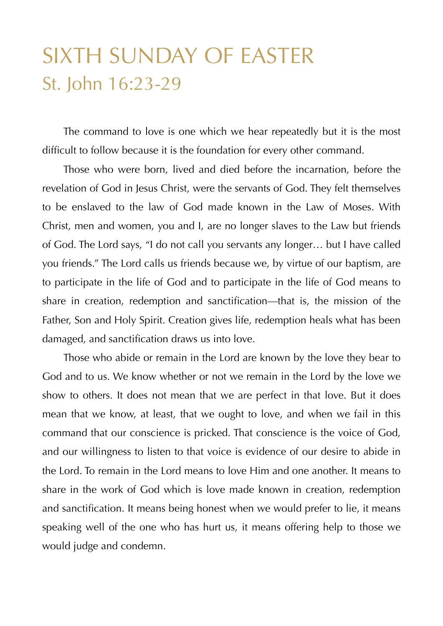## SIXTH SUNDAY OF EASTER St. John 16:23-29

 The command to love is one which we hear repeatedly but it is the most difficult to follow because it is the foundation for every other command.

 Those who were born, lived and died before the incarnation, before the revelation of God in Jesus Christ, were the servants of God. They felt themselves to be enslaved to the law of God made known in the Law of Moses. With Christ, men and women, you and I, are no longer slaves to the Law but friends of God. The Lord says, "I do not call you servants any longer… but I have called you friends." The Lord calls us friends because we, by virtue of our baptism, are to participate in the life of God and to participate in the life of God means to share in creation, redemption and sanctification—that is, the mission of the Father, Son and Holy Spirit. Creation gives life, redemption heals what has been damaged, and sanctification draws us into love.

 Those who abide or remain in the Lord are known by the love they bear to God and to us. We know whether or not we remain in the Lord by the love we show to others. It does not mean that we are perfect in that love. But it does mean that we know, at least, that we ought to love, and when we fail in this command that our conscience is pricked. That conscience is the voice of God, and our willingness to listen to that voice is evidence of our desire to abide in the Lord. To remain in the Lord means to love Him and one another. It means to share in the work of God which is love made known in creation, redemption and sanctification. It means being honest when we would prefer to lie, it means speaking well of the one who has hurt us, it means offering help to those we would judge and condemn.